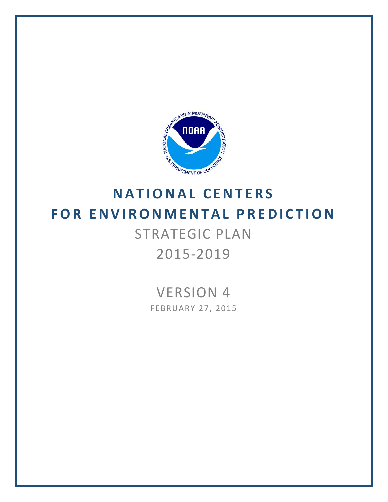

# **FOR ENVIRONMENTAL PR EDICTION** STRATEGIC PLAN 2015-2019

# VERSION 4

FEBRUARY 27, 2015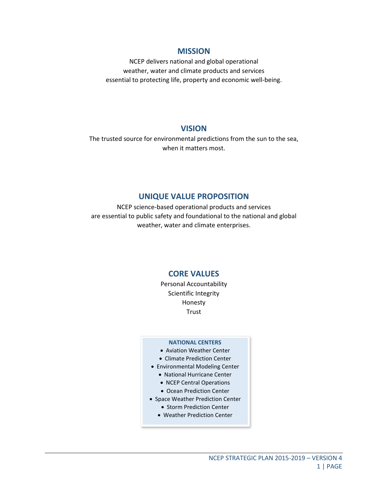#### **MISSION**

NCEP delivers national and global operational weather, water and climate products and services essential to protecting life, property and economic well-being.

#### **VISION**

The trusted source for environmental predictions from the sun to the sea, when it matters most.

#### **UNIQUE VALUE PROPOSITION**

NCEP science-based operational products and services are essential to public safety and foundational to the national and global weather, water and climate enterprises.

#### **CORE VALUES**

Personal Accountability Scientific Integrity Honesty **Trust** 

#### **NATIONAL CENTERS**

- Aviation Weather Center
- Climate Prediction Center
- Environmental Modeling Center
	- National Hurricane Center
	- NCEP Central Operations
	- Ocean Prediction Center
- Space Weather Prediction Center
	- Storm Prediction Center
	- Weather Prediction Center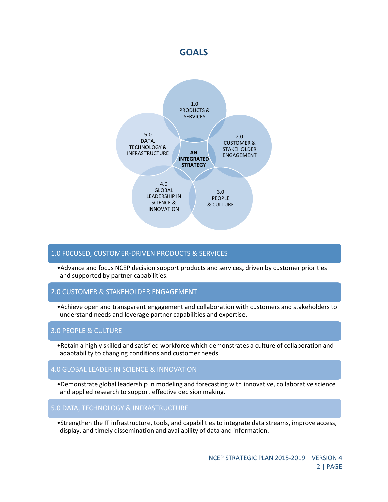### **GOALS**



#### 1.0 F0CUSED, CUSTOMER-DRIVEN PRODUCTS & SERVICES

•Advance and focus NCEP decision support products and services, driven by customer priorities and supported by partner capabilities.

#### 2.0 CUSTOMER & STAKEHOLDER ENGAGEMENT

•Achieve open and transparent engagement and collaboration with customers and stakeholders to understand needs and leverage partner capabilities and expertise.

#### 3.0 PEOPLE & CULTURE

•Retain a highly skilled and satisfied workforce which demonstrates a culture of collaboration and adaptability to changing conditions and customer needs.

#### 4.0 GLOBAL LEADER IN SCIENCE & INNOVATION

•Demonstrate global leadership in modeling and forecasting with innovative, collaborative science and applied research to support effective decision making.

#### 5.0 DATA, TECHNOLOGY & INFRASTRUCTURE

•Strengthen the IT infrastructure, tools, and capabilities to integrate data streams, improve access, display, and timely dissemination and availability of data and information.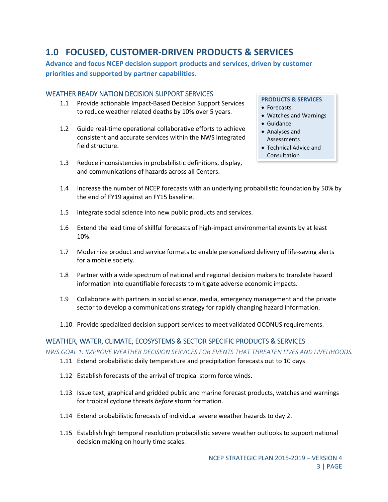# **1.0 FOCUSED, CUSTOMER-DRIVEN PRODUCTS & SERVICES**

**Advance and focus NCEP decision support products and services, driven by customer priorities and supported by partner capabilities.**

#### WEATHER READY NATION DECISION SUPPORT SERVICES

- 1.1 Provide actionable Impact-Based Decision Support Services to reduce weather related deaths by 10% over 5 years.
- 1.2 Guide real-time operational collaborative efforts to achieve consistent and accurate services within the NWS integrated field structure.
- 1.3 Reduce inconsistencies in probabilistic definitions, display, and communications of hazards across all Centers.

#### **PRODUCTS & SERVICES**

- Forecasts
- Watches and Warnings
- Guidance
- Analyses and Assessments
- Technical Advice and Consultation
- 1.4 Increase the number of NCEP forecasts with an underlying probabilistic foundation by 50% by the end of FY19 against an FY15 baseline.
- 1.5 Integrate social science into new public products and services.
- 1.6 Extend the lead time of skillful forecasts of high-impact environmental events by at least 10%.
- 1.7 Modernize product and service formats to enable personalized delivery of life-saving alerts for a mobile society.
- 1.8 Partner with a wide spectrum of national and regional decision makers to translate hazard information into quantifiable forecasts to mitigate adverse economic impacts.
- 1.9 Collaborate with partners in social science, media, emergency management and the private sector to develop a communications strategy for rapidly changing hazard information.
- 1.10 Provide specialized decision support services to meet validated OCONUS requirements.

#### WEATHER, WATER, CLIMATE, ECOSYSTEMS & SECTOR SPECIFIC PRODUCTS & SERVICES

*NWS GOAL 1: IMPROVE WEATHER DECISION SERVICES FOR EVENTS THAT THREATEN LIVES AND LIVELIHOODS.*

- 1.11 Extend probabilistic daily temperature and precipitation forecasts out to 10 days
- 1.12 Establish forecasts of the arrival of tropical storm force winds.
- 1.13 Issue text, graphical and gridded public and marine forecast products, watches and warnings for tropical cyclone threats *before* storm formation.
- 1.14 Extend probabilistic forecasts of individual severe weather hazards to day 2.
- 1.15 Establish high temporal resolution probabilistic severe weather outlooks to support national decision making on hourly time scales.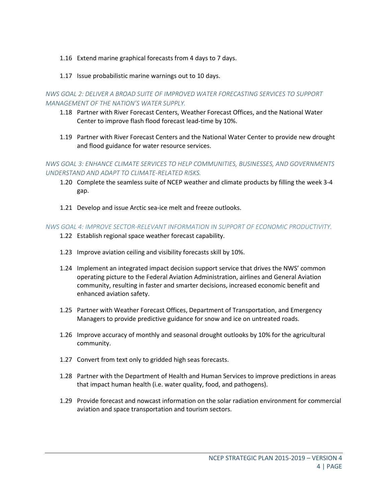- 1.16 Extend marine graphical forecasts from 4 days to 7 days.
- 1.17 Issue probabilistic marine warnings out to 10 days.

*NWS GOAL 2: DELIVER A BROAD SUITE OF IMPROVED WATER FORECASTING SERVICES TO SUPPORT MANAGEMENT OF THE NATION'S WATER SUPPLY.*

- 1.18 Partner with River Forecast Centers, Weather Forecast Offices, and the National Water Center to improve flash flood forecast lead-time by 10%.
- 1.19 Partner with River Forecast Centers and the National Water Center to provide new drought and flood guidance for water resource services.

*NWS GOAL 3: ENHANCE CLIMATE SERVICES TO HELP COMMUNITIES, BUSINESSES, AND GOVERNMENTS UNDERSTAND AND ADAPT TO CLIMATE-RELATED RISKS.*

- 1.20 Complete the seamless suite of NCEP weather and climate products by filling the week 3-4 gap.
- 1.21 Develop and issue Arctic sea-ice melt and freeze outlooks.

#### *NWS GOAL 4: IMPROVE SECTOR-RELEVANT INFORMATION IN SUPPORT OF ECONOMIC PRODUCTIVITY.*

- 1.22 Establish regional space weather forecast capability.
- 1.23 Improve aviation ceiling and visibility forecasts skill by 10%.
- 1.24 Implement an integrated impact decision support service that drives the NWS' common operating picture to the Federal Aviation Administration, airlines and General Aviation community, resulting in faster and smarter decisions, increased economic benefit and enhanced aviation safety.
- 1.25 Partner with Weather Forecast Offices, Department of Transportation, and Emergency Managers to provide predictive guidance for snow and ice on untreated roads.
- 1.26 Improve accuracy of monthly and seasonal drought outlooks by 10% for the agricultural community.
- 1.27 Convert from text only to gridded high seas forecasts.
- 1.28 Partner with the Department of Health and Human Services to improve predictions in areas that impact human health (i.e. water quality, food, and pathogens).
- 1.29 Provide forecast and nowcast information on the solar radiation environment for commercial aviation and space transportation and tourism sectors.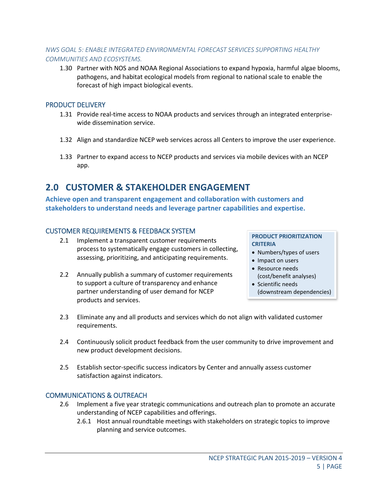#### *NWS GOAL 5: ENABLE INTEGRATED ENVIRONMENTAL FORECAST SERVICES SUPPORTING HEALTHY COMMUNITIES AND ECOSYSTEMS.*

1.30 Partner with NOS and NOAA Regional Associations to expand hypoxia, harmful algae blooms, pathogens, and habitat ecological models from regional to national scale to enable the forecast of high impact biological events.

#### PRODUCT DELIVERY

- 1.31 Provide real-time access to NOAA products and services through an integrated enterprisewide dissemination service.
- 1.32 Align and standardize NCEP web services across all Centers to improve the user experience.
- 1.33 Partner to expand access to NCEP products and services via mobile devices with an NCEP app.

# **2.0 CUSTOMER & STAKEHOLDER ENGAGEMENT**

**Achieve open and transparent engagement and collaboration with customers and stakeholders to understand needs and leverage partner capabilities and expertise.**

#### CUSTOMER REQUIREMENTS & FEEDBACK SYSTEM

- 2.1 Implement a transparent customer requirements process to systematically engage customers in collecting, assessing, prioritizing, and anticipating requirements.
- 2.2 Annually publish a summary of customer requirements to support a culture of transparency and enhance partner understanding of user demand for NCEP products and services.

#### **PRODUCT PRIORITIZATION CRITERIA**

- Numbers/types of users
- Impact on users
- Resource needs (cost/benefit analyses)
- Scientific needs (downstream dependencies)
- 2.3 Eliminate any and all products and services which do not align with validated customer requirements.
- 2.4 Continuously solicit product feedback from the user community to drive improvement and new product development decisions.
- 2.5 Establish sector-specific success indicators by Center and annually assess customer satisfaction against indicators.

#### COMMUNICATIONS & OUTREACH

- 2.6 Implement a five year strategic communications and outreach plan to promote an accurate understanding of NCEP capabilities and offerings.
	- 2.6.1 Host annual roundtable meetings with stakeholders on strategic topics to improve planning and service outcomes.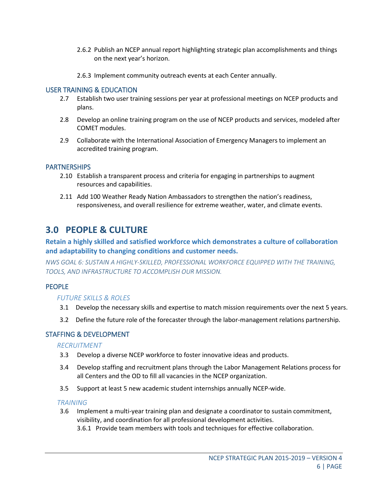- 2.6.2 Publish an NCEP annual report highlighting strategic plan accomplishments and things on the next year's horizon.
- 2.6.3 Implement community outreach events at each Center annually.

#### USER TRAINING & EDUCATION

- 2.7 Establish two user training sessions per year at professional meetings on NCEP products and plans.
- 2.8 Develop an online training program on the use of NCEP products and services, modeled after COMET modules.
- 2.9 Collaborate with the International Association of Emergency Managers to implement an accredited training program.

#### **PARTNERSHIPS**

- 2.10 Establish a transparent process and criteria for engaging in partnerships to augment resources and capabilities.
- 2.11 Add 100 Weather Ready Nation Ambassadors to strengthen the nation's readiness, responsiveness, and overall resilience for extreme weather, water, and climate events.

## **3.0 PEOPLE & CULTURE**

#### **Retain a highly skilled and satisfied workforce which demonstrates a culture of collaboration and adaptability to changing conditions and customer needs.**

*NWS GOAL 6: SUSTAIN A HIGHLY-SKILLED, PROFESSIONAL WORKFORCE EQUIPPED WITH THE TRAINING, TOOLS, AND INFRASTRUCTURE TO ACCOMPLISH OUR MISSION.*

#### PEOPLE

#### *FUTURE SKILLS & ROLES*

- 3.1 Develop the necessary skills and expertise to match mission requirements over the next 5 years.
- 3.2 Define the future role of the forecaster through the labor-management relations partnership.

#### STAFFING & DEVELOPMENT

#### *RECRUITMENT*

- 3.3 Develop a diverse NCEP workforce to foster innovative ideas and products.
- 3.4 Develop staffing and recruitment plans through the Labor Management Relations process for all Centers and the OD to fill all vacancies in the NCEP organization.
- 3.5 Support at least 5 new academic student internships annually NCEP-wide.

#### *TRAINING*

- 3.6 Implement a multi-year training plan and designate a coordinator to sustain commitment, visibility, and coordination for all professional development activities.
	- 3.6.1 Provide team members with tools and techniques for effective collaboration.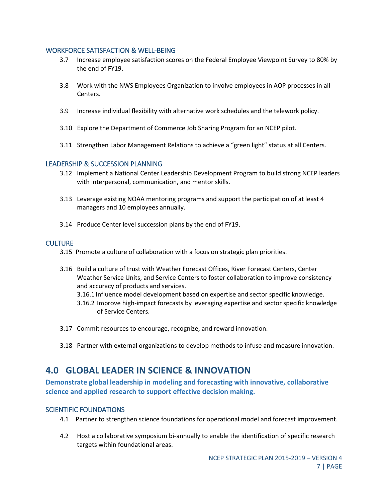#### WORKFORCE SATISFACTION & WELL-BEING

- 3.7 Increase employee satisfaction scores on the Federal Employee Viewpoint Survey to 80% by the end of FY19.
- 3.8 Work with the NWS Employees Organization to involve employees in AOP processes in all Centers.
- 3.9 Increase individual flexibility with alternative work schedules and the telework policy.
- 3.10 Explore the Department of Commerce Job Sharing Program for an NCEP pilot.
- 3.11 Strengthen Labor Management Relations to achieve a "green light" status at all Centers.

#### LEADERSHIP & SUCCESSION PLANNING

- 3.12 Implement a National Center Leadership Development Program to build strong NCEP leaders with interpersonal, communication, and mentor skills.
- 3.13 Leverage existing NOAA mentoring programs and support the participation of at least 4 managers and 10 employees annually.
- 3.14 Produce Center level succession plans by the end of FY19.

#### **CULTURE**

- 3.15 Promote a culture of collaboration with a focus on strategic plan priorities.
- 3.16 Build a culture of trust with Weather Forecast Offices, River Forecast Centers, Center Weather Service Units, and Service Centers to foster collaboration to improve consistency and accuracy of products and services.
	- 3.16.1 Influence model development based on expertise and sector specific knowledge.
	- 3.16.2 Improve high-impact forecasts by leveraging expertise and sector specific knowledge of Service Centers.
- 3.17 Commit resources to encourage, recognize, and reward innovation.
- 3.18 Partner with external organizations to develop methods to infuse and measure innovation.

# **4.0 GLOBAL LEADER IN SCIENCE & INNOVATION**

**Demonstrate global leadership in modeling and forecasting with innovative, collaborative science and applied research to support effective decision making.** 

#### SCIENTIFIC FOUNDATIONS

- 4.1 Partner to strengthen science foundations for operational model and forecast improvement.
- 4.2 Host a collaborative symposium bi-annually to enable the identification of specific research targets within foundational areas.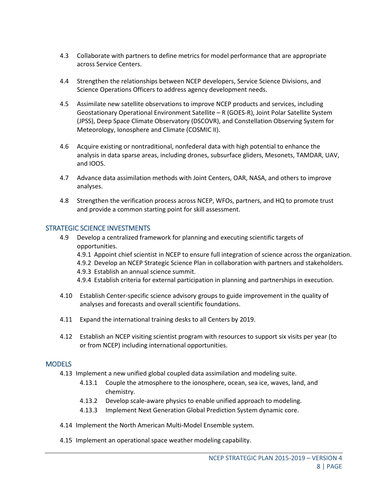- 4.3 Collaborate with partners to define metrics for model performance that are appropriate across Service Centers.
- 4.4 Strengthen the relationships between NCEP developers, Service Science Divisions, and Science Operations Officers to address agency development needs.
- 4.5 Assimilate new satellite observations to improve NCEP products and services, including Geostationary Operational Environment Satellite – R (GOES-R), Joint Polar Satellite System (JPSS), Deep Space Climate Observatory (DSCOVR), and Constellation Observing System for Meteorology, Ionosphere and Climate (COSMIC II).
- 4.6 Acquire existing or nontraditional, nonfederal data with high potential to enhance the analysis in data sparse areas, including drones, subsurface gliders, Mesonets, TAMDAR, UAV, and IOOS.
- 4.7 Advance data assimilation methods with Joint Centers, OAR, NASA, and others to improve analyses.
- 4.8 Strengthen the verification process across NCEP, WFOs, partners, and HQ to promote trust and provide a common starting point for skill assessment.

#### STRATEGIC SCIENCE INVESTMENTS

- 4.9 Develop a centralized framework for planning and executing scientific targets of opportunities.
	- 4.9.1 Appoint chief scientist in NCEP to ensure full integration of science across the organization.
	- 4.9.2 Develop an NCEP Strategic Science Plan in collaboration with partners and stakeholders.
	- 4.9.3 Establish an annual science summit.
	- 4.9.4 Establish criteria for external participation in planning and partnerships in execution.
- 4.10 Establish Center-specific science advisory groups to guide improvement in the quality of analyses and forecasts and overall scientific foundations.
- 4.11 Expand the international training desks to all Centers by 2019.
- 4.12 Establish an NCEP visiting scientist program with resources to support six visits per year (to or from NCEP) including international opportunities.

#### MODELS

- 4.13 Implement a new unified global coupled data assimilation and modeling suite.
	- 4.13.1 Couple the atmosphere to the ionosphere, ocean, sea ice, waves, land, and chemistry.
	- 4.13.2 Develop scale-aware physics to enable unified approach to modeling.
	- 4.13.3 Implement Next Generation Global Prediction System dynamic core.
- 4.14 Implement the North American Multi-Model Ensemble system.
- 4.15 Implement an operational space weather modeling capability.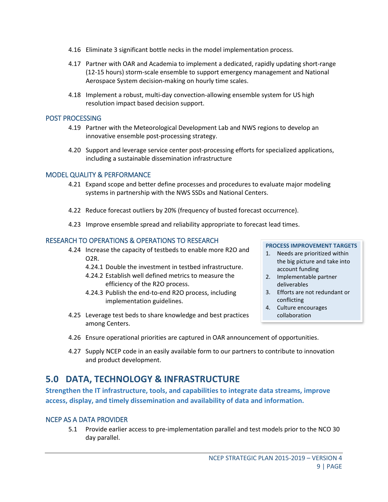- 4.16 Eliminate 3 significant bottle necks in the model implementation process.
- 4.17 Partner with OAR and Academia to implement a dedicated, rapidly updating short-range (12-15 hours) storm-scale ensemble to support emergency management and National Aerospace System decision-making on hourly time scales.
- 4.18 Implement a robust, multi-day convection-allowing ensemble system for US high resolution impact based decision support.

#### POST PROCESSING

- 4.19 Partner with the Meteorological Development Lab and NWS regions to develop an innovative ensemble post-processing strategy.
- 4.20 Support and leverage service center post-processing efforts for specialized applications, including a sustainable dissemination infrastructure

#### MODEL QUALITY & PERFORMANCE

- 4.21 Expand scope and better define processes and procedures to evaluate major modeling systems in partnership with the NWS SSDs and National Centers.
- 4.22 Reduce forecast outliers by 20% (frequency of busted forecast occurrence).
- 4.23 Improve ensemble spread and reliability appropriate to forecast lead times.

#### RESEARCH TO OPERATIONS & OPERATIONS TO RESEARCH

- 4.24 Increase the capacity of testbeds to enable more R2O and O2R.
	- 4.24.1 Double the investment in testbed infrastructure.
	- 4.24.2 Establish well defined metrics to measure the efficiency of the R2O process.
	- 4.24.3 Publish the end-to-end R2O process, including implementation guidelines.
- 4.25 Leverage test beds to share knowledge and best practices among Centers.

#### **PROCESS IMPROVEMENT TARGETS**

- 1. Needs are prioritized within the big picture and take into account funding
- 2. Implementable partner deliverables
- 3. Efforts are not redundant or conflicting
- 4. Culture encourages collaboration
- 4.26 Ensure operational priorities are captured in OAR announcement of opportunities.
- 4.27 Supply NCEP code in an easily available form to our partners to contribute to innovation and product development.

# **5.0 DATA, TECHNOLOGY & INFRASTRUCTURE**

**Strengthen the IT infrastructure, tools, and capabilities to integrate data streams, improve access, display, and timely dissemination and availability of data and information.**

#### NCEP AS A DATA PROVIDER

5.1 Provide earlier access to pre-implementation parallel and test models prior to the NCO 30 day parallel.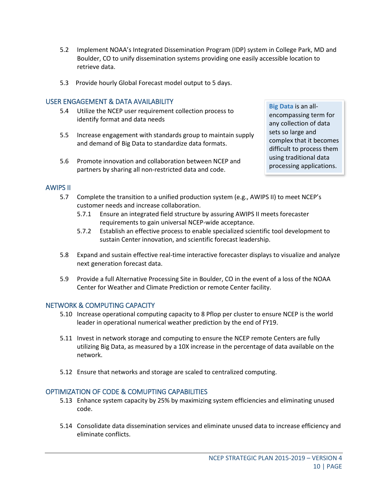- 5.2 Implement NOAA's Integrated Dissemination Program (IDP) system in College Park, MD and Boulder, CO to unify dissemination systems providing one easily accessible location to retrieve data.
- 5.3 Provide hourly Global Forecast model output to 5 days.

#### USER ENGAGEMENT & DATA AVAILABILITY

- 5.4 Utilize the NCEP user requirement collection process to identify format and data needs
- 5.5 Increase engagement with standards group to maintain supply and demand of Big Data to standardize data formats.
- 5.6 Promote innovation and collaboration between NCEP and partners by sharing all non-restricted data and code.

**Big Data** is an allencompassing term for any collection of data sets so large and complex that it becomes difficult to process them using traditional data processing applications.

#### AWIPS II

- 5.7 Complete the transition to a unified production system (e.g., AWIPS II) to meet NCEP's customer needs and increase collaboration.
	- 5.7.1 Ensure an integrated field structure by assuring AWIPS II meets forecaster requirements to gain universal NCEP-wide acceptance.
	- 5.7.2 Establish an effective process to enable specialized scientific tool development to sustain Center innovation, and scientific forecast leadership.
- 5.8 Expand and sustain effective real-time interactive forecaster displays to visualize and analyze next generation forecast data.
- 5.9 Provide a full Alternative Processing Site in Boulder, CO in the event of a loss of the NOAA Center for Weather and Climate Prediction or remote Center facility.

#### NETWORK & COMPUTING CAPACITY

- 5.10 Increase operational computing capacity to 8 Pflop per cluster to ensure NCEP is the world leader in operational numerical weather prediction by the end of FY19.
- 5.11 Invest in network storage and computing to ensure the NCEP remote Centers are fully utilizing Big Data, as measured by a 10X increase in the percentage of data available on the network.
- 5.12 Ensure that networks and storage are scaled to centralized computing.

#### OPTIMIZATION OF CODE & COMUPTING CAPABILITIES

- 5.13 Enhance system capacity by 25% by maximizing system efficiencies and eliminating unused code.
- 5.14 Consolidate data dissemination services and eliminate unused data to increase efficiency and eliminate conflicts.